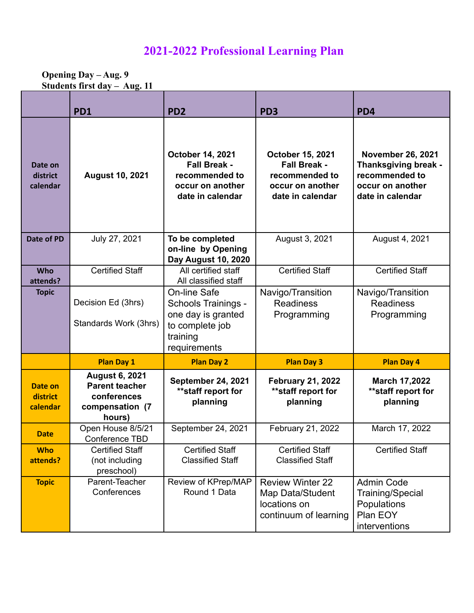# **2021-2022 Professional Learning Plan**

**Opening Day – Aug. 9 Students first day – Aug. 11**

|                                 | PD1                                                                                        | PD <sub>2</sub>                                                                                                        | PD <sub>3</sub>                                                                                          | PD4                                                                                                        |
|---------------------------------|--------------------------------------------------------------------------------------------|------------------------------------------------------------------------------------------------------------------------|----------------------------------------------------------------------------------------------------------|------------------------------------------------------------------------------------------------------------|
| Date on<br>district<br>calendar | <b>August 10, 2021</b>                                                                     | October 14, 2021<br><b>Fall Break -</b><br>recommended to<br>occur on another<br>date in calendar                      | <b>October 15, 2021</b><br><b>Fall Break -</b><br>recommended to<br>occur on another<br>date in calendar | <b>November 26, 2021</b><br>Thanksgiving break -<br>recommended to<br>occur on another<br>date in calendar |
| Date of PD                      | July 27, 2021                                                                              | To be completed<br>on-line by Opening<br>Day August 10, 2020                                                           | August 3, 2021<br>August 4, 2021                                                                         |                                                                                                            |
| <b>Who</b><br>attends?          | <b>Certified Staff</b>                                                                     | All certified staff<br>All classified staff                                                                            | <b>Certified Staff</b><br><b>Certified Staff</b>                                                         |                                                                                                            |
| <b>Topic</b>                    | Decision Ed (3hrs)<br>Standards Work (3hrs)                                                | <b>On-line Safe</b><br><b>Schools Trainings -</b><br>one day is granted<br>to complete job<br>training<br>requirements | Navigo/Transition<br><b>Readiness</b><br>Programming                                                     | Navigo/Transition<br><b>Readiness</b><br>Programming                                                       |
|                                 | <b>Plan Day 1</b>                                                                          | <b>Plan Day 2</b>                                                                                                      | <b>Plan Day 3</b>                                                                                        | <b>Plan Day 4</b>                                                                                          |
| Date on<br>district<br>calendar | <b>August 6, 2021</b><br><b>Parent teacher</b><br>conferences<br>compensation (7<br>hours) | September 24, 2021<br>** staff report for<br>planning                                                                  | <b>February 21, 2022</b><br>** staff report for<br>planning                                              | <b>March 17,2022</b><br>** staff report for<br>planning                                                    |
| <b>Date</b>                     | Open House 8/5/21<br>Conference TBD                                                        | September 24, 2021                                                                                                     | February 21, 2022                                                                                        | March 17, 2022                                                                                             |
| <b>Who</b><br>attends?          | <b>Certified Staff</b><br>(not including<br>preschool)                                     | <b>Certified Staff</b><br><b>Classified Staff</b>                                                                      | <b>Certified Staff</b><br><b>Classified Staff</b>                                                        | <b>Certified Staff</b>                                                                                     |
| <b>Topic</b>                    | Parent-Teacher<br>Conferences                                                              | Review of KPrep/MAP<br>Round 1 Data                                                                                    | <b>Review Winter 22</b><br>Map Data/Student<br>locations on<br>continuum of learning                     | <b>Admin Code</b><br>Training/Special<br>Populations<br>Plan EOY<br>interventions                          |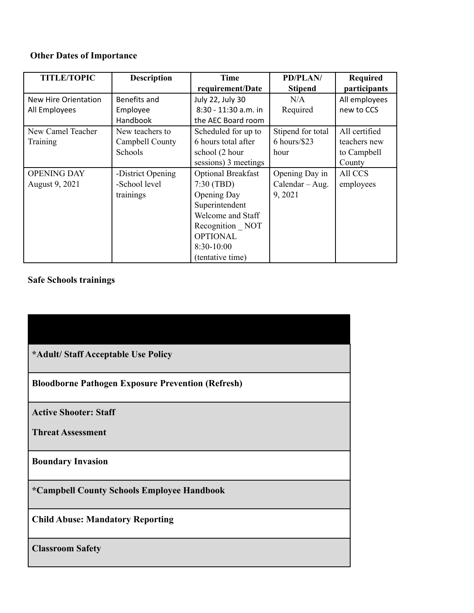# **Other Dates of Importance**

| <b>TITLE/TOPIC</b>   | <b>Description</b> | Time                      | <b>PD/PLAN/</b>   | <b>Required</b> |
|----------------------|--------------------|---------------------------|-------------------|-----------------|
|                      |                    | requirement/Date          | <b>Stipend</b>    | participants    |
| New Hire Orientation | Benefits and       | July 22, July 30          | N/A               | All employees   |
| All Employees        | Employee           | 8:30 - 11:30 a.m. in      | Required          | new to CCS      |
|                      | Handbook           | the AEC Board room        |                   |                 |
| New Camel Teacher    | New teachers to    | Scheduled for up to       | Stipend for total | All certified   |
| Training             | Campbell County    | 6 hours total after       | $6$ hours/\$23    | teachers new    |
|                      | Schools            | school (2 hour            | hour              | to Campbell     |
|                      |                    | sessions) 3 meetings      |                   | County          |
| <b>OPENING DAY</b>   | -District Opening  | <b>Optional Breakfast</b> | Opening Day in    | All CCS         |
| August 9, 2021       | -School level      | 7:30(TBD)                 | Calendar - Aug.   | employees       |
|                      | trainings          | Opening Day               | 9, 2021           |                 |
|                      |                    | Superintendent            |                   |                 |
|                      |                    | Welcome and Staff         |                   |                 |
|                      |                    | Recognition NOT           |                   |                 |
|                      |                    | <b>OPTIONAL</b>           |                   |                 |
|                      |                    | $8:30-10:00$              |                   |                 |
|                      |                    | (tentative time)          |                   |                 |

# **Safe Schools trainings**

**Bloodborne Pathogen Exposure Prevention (Refresh)**

**Active Shooter: Staff**

**Threat Assessment**

**Boundary Invasion**

**\*Campbell County Schools Employee Handbook**

**Child Abuse: Mandatory Reporting**

**Classroom Safety**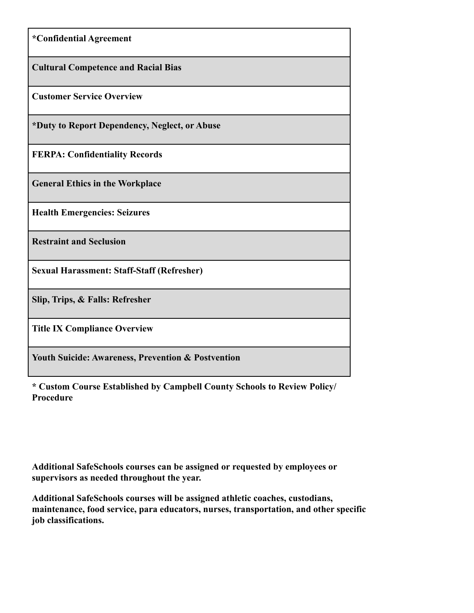| *Confidential Agreement                                       |
|---------------------------------------------------------------|
| <b>Cultural Competence and Racial Bias</b>                    |
| <b>Customer Service Overview</b>                              |
| *Duty to Report Dependency, Neglect, or Abuse                 |
| <b>FERPA: Confidentiality Records</b>                         |
| <b>General Ethics in the Workplace</b>                        |
| <b>Health Emergencies: Seizures</b>                           |
| <b>Restraint and Seclusion</b>                                |
| <b>Sexual Harassment: Staff-Staff (Refresher)</b>             |
| Slip, Trips, & Falls: Refresher                               |
| <b>Title IX Compliance Overview</b>                           |
| <b>Youth Suicide: Awareness, Prevention &amp; Postvention</b> |

**\* Custom Course Established by Campbell County Schools to Review Policy/ Procedure**

**Additional SafeSchools courses can be assigned or requested by employees or supervisors as needed throughout the year.**

**Additional SafeSchools courses will be assigned athletic coaches, custodians, maintenance, food service, para educators, nurses, transportation, and other specific job classifications.**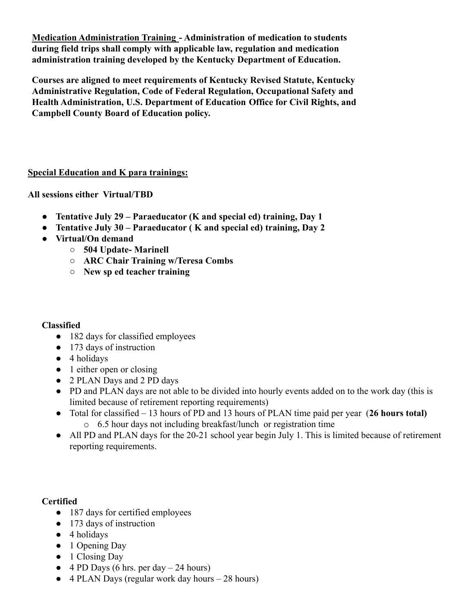**Medication Administration Training - Administration of medication to students during field trips shall comply with applicable law, regulation and medication administration training developed by the Kentucky Department of Education.**

**Courses are aligned to meet requirements of Kentucky Revised Statute, Kentucky Administrative Regulation, Code of Federal Regulation, Occupational Safety and Health Administration, U.S. Department of Education Office for Civil Rights, and Campbell County Board of Education policy.**

#### **Special Education and K para trainings:**

**All sessions either Virtual/TBD**

- **● Tentative July 29 Paraeducator (K and special ed) training, Day 1**
- **● Tentative July 30 Paraeducator ( K and special ed) training, Day 2**
- **● Virtual/On demand**
	- **○ 504 Update- Marinell**
	- **○ ARC Chair Training w/Teresa Combs**
	- **○ New sp ed teacher training**

#### **Classified**

- 182 days for classified employees
- 173 days of instruction
- 4 holidays
- 1 either open or closing
- 2 PLAN Days and 2 PD days
- PD and PLAN days are not able to be divided into hourly events added on to the work day (this is limited because of retirement reporting requirements)
- Total for classified 13 hours of PD and 13 hours of PLAN time paid per year (**26 hours total)** o 6.5 hour days not including breakfast/lunch or registration time
- All PD and PLAN days for the 20-21 school year begin July 1. This is limited because of retirement reporting requirements.

#### **Certified**

- 187 days for certified employees
- 173 days of instruction
- 4 holidays
- 1 Opening Day
- 1 Closing Day
- $\bullet$  4 PD Days (6 hrs. per day  $-$  24 hours)
- 4 PLAN Days (regular work day hours 28 hours)